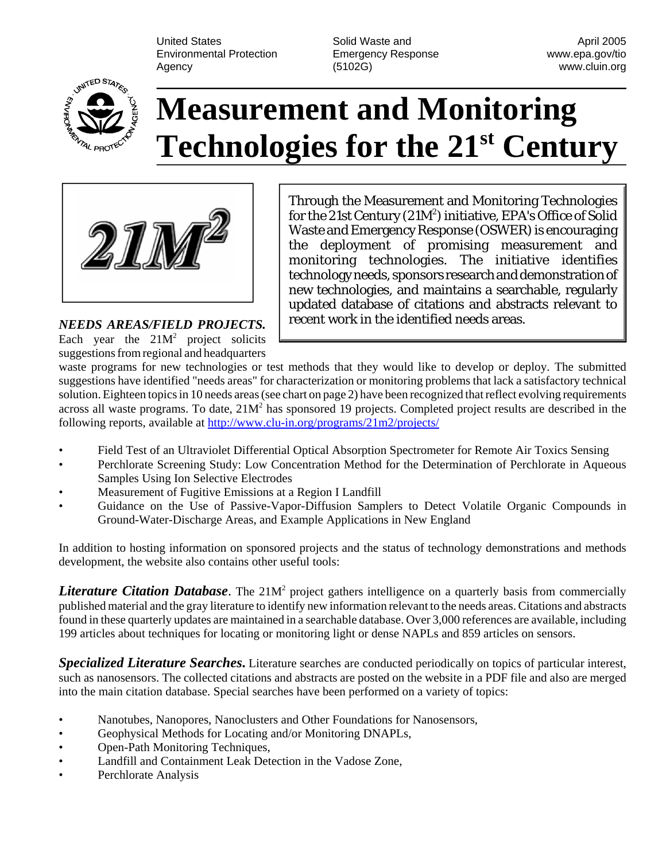United States **Solid Waste and April 2005** Control and April 2005 Environmental Protection Emergency Response www.epa.gov/tio Agency (5102G) www.cluin.org



## **Measurement and Monitoring Technologies for the 21st Century**



Each year the  $21M^2$  project solicits suggestions from regional and headquarters

Through the Measurement and Monitoring Technologies for the 21st Century  $(21M^2)$  initiative, EPA's Office of Solid Waste and Emergency Response (OSWER) is encouraging the deployment of promising measurement and monitoring technologies. The initiative identifies technology needs, sponsors research and demonstration of new technologies, and maintains a searchable, regularly updated database of citations and abstracts relevant to recent work in the identified needs areas. *NEEDS AREAS/FIELD PROJECTS.* 

waste programs for new technologies or test methods that they would like to develop or deploy. The submitted suggestions have identified "needs areas" for characterization or monitoring problems that lack a satisfactory technical solution. Eighteen topics in 10 needs areas (see chart on page 2) have been recognized that reflect evolving requirements across all waste programs. To date,  $21M<sup>2</sup>$  has sponsored 19 projects. Completed project results are described in the following reports, available at<http://www.clu-in.org/programs/21m2/projects/>

- Field Test of an Ultraviolet Differential Optical Absorption Spectrometer for Remote Air Toxics Sensing
- Perchlorate Screening Study: Low Concentration Method for the Determination of Perchlorate in Aqueous Samples Using Ion Selective Electrodes
- Measurement of Fugitive Emissions at a Region I Landfill
- Guidance on the Use of Passive-Vapor-Diffusion Samplers to Detect Volatile Organic Compounds in Ground-Water-Discharge Areas, and Example Applications in New England

In addition to hosting information on sponsored projects and the status of technology demonstrations and methods development, the website also contains other useful tools:

Literature Citation Database. The 21M<sup>2</sup> project gathers intelligence on a quarterly basis from commercially published material and the gray literature to identify new information relevant to the needs areas. Citations and abstracts found in these quarterly updates are maintained in a searchable database. Over 3,000 references are available, including 199 articles about techniques for locating or monitoring light or dense NAPLs and 859 articles on sensors.

*Specialized Literature Searches***.** Literature searches are conducted periodically on topics of particular interest, such as nanosensors. The collected citations and abstracts are posted on the website in a PDF file and also are merged into the main citation database. Special searches have been performed on a variety of topics:

- Nanotubes, Nanopores, Nanoclusters and Other Foundations for Nanosensors,
- Geophysical Methods for Locating and/or Monitoring DNAPLs,
- Open-Path Monitoring Techniques,
- Landfill and Containment Leak Detection in the Vadose Zone,
- Perchlorate Analysis